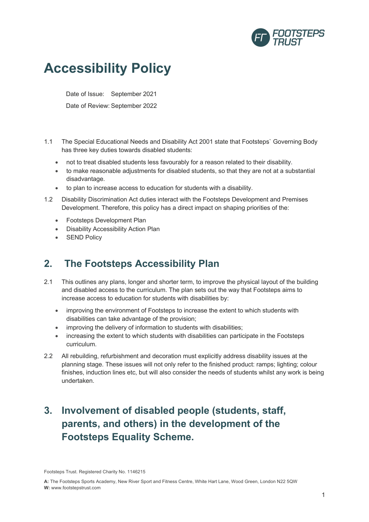

# **Accessibility Policy**

Date of Issue: September 2021

Date of Review: September 2022

- 1.1 The Special Educational Needs and Disability Act 2001 state that Footsteps` Governing Body has three key duties towards disabled students:
	- not to treat disabled students less favourably for a reason related to their disability.
	- to make reasonable adjustments for disabled students, so that they are not at a substantial disadvantage.
	- to plan to increase access to education for students with a disability.
- 1.2 Disability Discrimination Act duties interact with the Footsteps Development and Premises Development. Therefore, this policy has a direct impact on shaping priorities of the:
	- Footsteps Development Plan
	- Disability Accessibility Action Plan
	- SEND Policy

### **2. The Footsteps Accessibility Plan**

- 2.1 This outlines any plans, longer and shorter term, to improve the physical layout of the building and disabled access to the curriculum. The plan sets out the way that Footsteps aims to increase access to education for students with disabilities by:
	- improving the environment of Footsteps to increase the extent to which students with disabilities can take advantage of the provision;
	- improving the delivery of information to students with disabilities;
	- increasing the extent to which students with disabilities can participate in the Footsteps curriculum.
- 2.2 All rebuilding, refurbishment and decoration must explicitly address disability issues at the planning stage. These issues will not only refer to the finished product: ramps; lighting; colour finishes, induction lines etc, but will also consider the needs of students whilst any work is being undertaken.

## **3. Involvement of disabled people (students, staff, parents, and others) in the development of the Footsteps Equality Scheme.**

Footsteps Trust. Registered Charity No. 1146215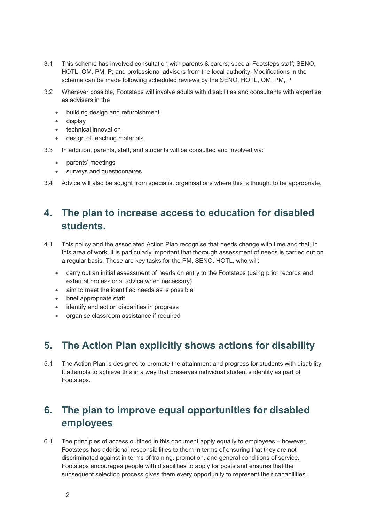- 3.1 This scheme has involved consultation with parents & carers; special Footsteps staff; SENO, HOTL, OM, PM, P; and professional advisors from the local authority. Modifications in the scheme can be made following scheduled reviews by the SENO, HOTL, OM, PM, P
- 3.2 Wherever possible, Footsteps will involve adults with disabilities and consultants with expertise as advisers in the
	- building design and refurbishment
	- display
	- technical innovation
	- design of teaching materials
- 3.3 In addition, parents, staff, and students will be consulted and involved via:
	- parents' meetings
	- surveys and questionnaires
- 3.4 Advice will also be sought from specialist organisations where this is thought to be appropriate.

## **4. The plan to increase access to education for disabled students.**

- 4.1 This policy and the associated Action Plan recognise that needs change with time and that, in this area of work, it is particularly important that thorough assessment of needs is carried out on a regular basis. These are key tasks for the PM, SENO, HOTL, who will:
	- carry out an initial assessment of needs on entry to the Footsteps (using prior records and external professional advice when necessary)
	- aim to meet the identified needs as is possible
	- brief appropriate staff
	- identify and act on disparities in progress
	- organise classroom assistance if required

### **5. The Action Plan explicitly shows actions for disability**

5.1 The Action Plan is designed to promote the attainment and progress for students with disability. It attempts to achieve this in a way that preserves individual student's identity as part of Footsteps.

### **6. The plan to improve equal opportunities for disabled employees**

6.1 The principles of access outlined in this document apply equally to employees – however, Footsteps has additional responsibilities to them in terms of ensuring that they are not discriminated against in terms of training, promotion, and general conditions of service. Footsteps encourages people with disabilities to apply for posts and ensures that the subsequent selection process gives them every opportunity to represent their capabilities.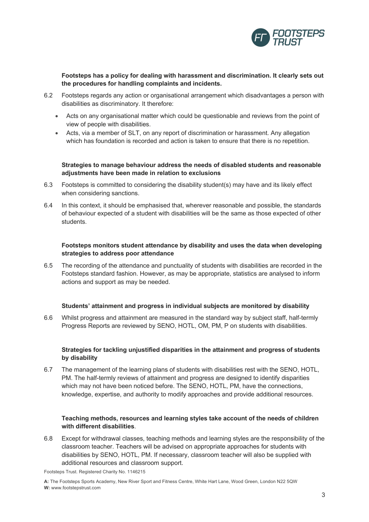

**Footsteps has a policy for dealing with harassment and discrimination. It clearly sets out the procedures for handling complaints and incidents.**

- 6.2 Footsteps regards any action or organisational arrangement which disadvantages a person with disabilities as discriminatory. It therefore:
	- Acts on any organisational matter which could be questionable and reviews from the point of view of people with disabilities.
	- Acts, via a member of SLT, on any report of discrimination or harassment. Any allegation which has foundation is recorded and action is taken to ensure that there is no repetition.

#### **Strategies to manage behaviour address the needs of disabled students and reasonable adjustments have been made in relation to exclusions**

- 6.3 Footsteps is committed to considering the disability student(s) may have and its likely effect when considering sanctions.
- 6.4 In this context, it should be emphasised that, wherever reasonable and possible, the standards of behaviour expected of a student with disabilities will be the same as those expected of other students.

#### **Footsteps monitors student attendance by disability and uses the data when developing strategies to address poor attendance**

6.5 The recording of the attendance and punctuality of students with disabilities are recorded in the Footsteps standard fashion. However, as may be appropriate, statistics are analysed to inform actions and support as may be needed.

#### **Students' attainment and progress in individual subjects are monitored by disability**

6.6 Whilst progress and attainment are measured in the standard way by subject staff, half-termly Progress Reports are reviewed by SENO, HOTL, OM, PM, P on students with disabilities.

#### **Strategies for tackling unjustified disparities in the attainment and progress of students by disability**

6.7 The management of the learning plans of students with disabilities rest with the SENO, HOTL, PM. The half-termly reviews of attainment and progress are designed to identify disparities which may not have been noticed before. The SENO, HOTL, PM, have the connections, knowledge, expertise, and authority to modify approaches and provide additional resources.

#### **Teaching methods, resources and learning styles take account of the needs of children with different disabilities**.

6.8 Except for withdrawal classes, teaching methods and learning styles are the responsibility of the classroom teacher. Teachers will be advised on appropriate approaches for students with disabilities by SENO, HOTL, PM. If necessary, classroom teacher will also be supplied with additional resources and classroom support.

Footsteps Trust. Registered Charity No. 1146215

**A:** The Footsteps Sports Academy, New River Sport and Fitness Centre, White Hart Lane, Wood Green, London N22 5QW **W:** www.footstepstrust.com